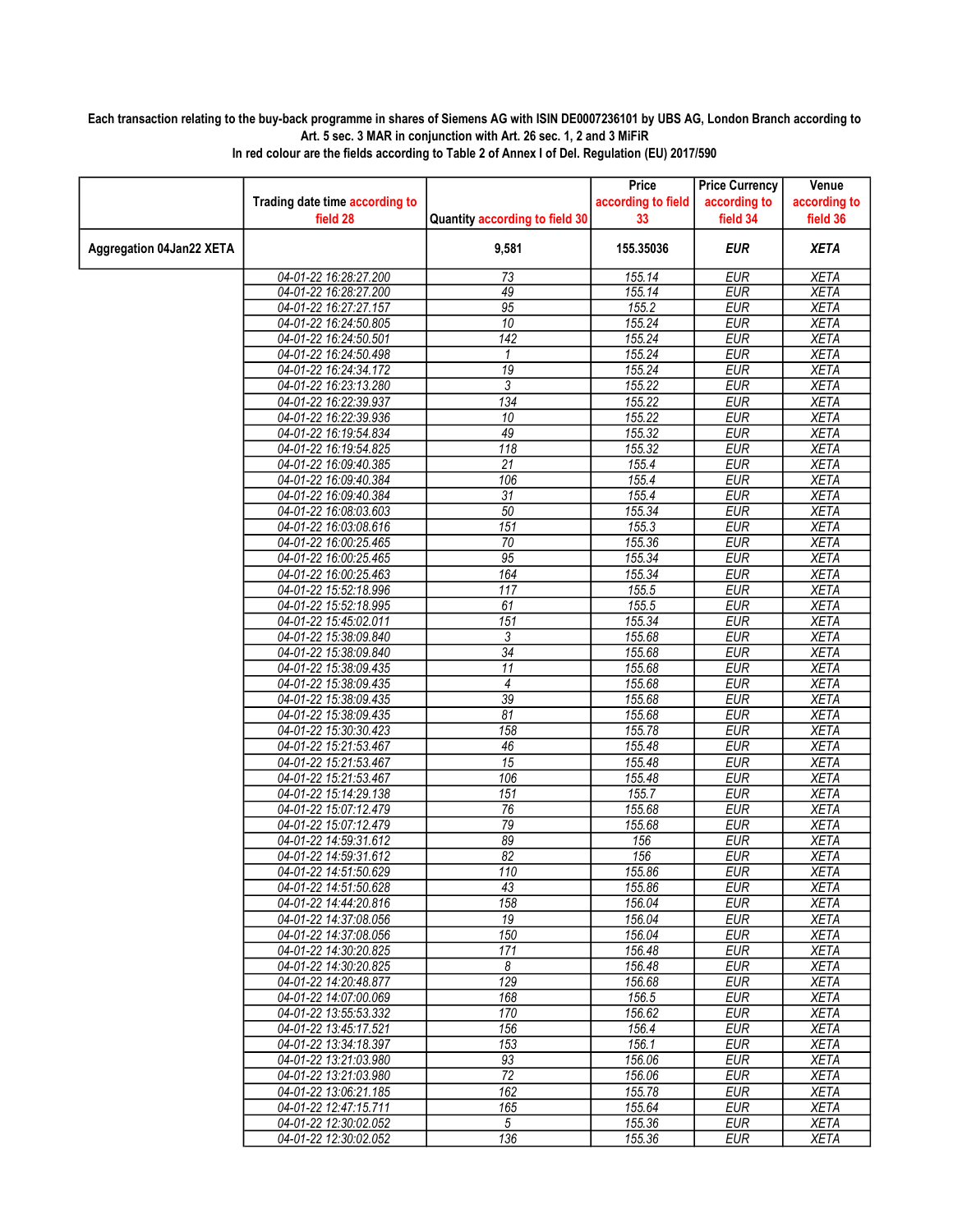## Each transaction relating to the buy-back programme in shares of Siemens AG with ISIN DE0007236101 by UBS AG, London Branch according to Art. 5 sec. 3 MAR in conjunction with Art. 26 sec. 1, 2 and 3 MiFiR

|                                 |                                |                                | Price              | <b>Price Currency</b> | Venue        |
|---------------------------------|--------------------------------|--------------------------------|--------------------|-----------------------|--------------|
|                                 | Trading date time according to |                                | according to field | according to          | according to |
|                                 | field 28                       | Quantity according to field 30 | 33                 | field 34              | field 36     |
| <b>Aggregation 04Jan22 XETA</b> |                                | 9,581                          | 155.35036          | <b>EUR</b>            | <b>XETA</b>  |
|                                 | 04-01-22 16:28:27.200          | 73                             | 155.14             | <b>EUR</b>            | <b>XETA</b>  |
|                                 | 04-01-22 16:28:27.200          | 49                             | 155.14             | <b>EUR</b>            | <b>XETA</b>  |
|                                 | 04-01-22 16:27:27.157          | 95                             | 155.2              | <b>EUR</b>            | <b>XETA</b>  |
|                                 | 04-01-22 16:24:50.805          | 10                             | 155.24             | <b>EUR</b>            | <b>XETA</b>  |
|                                 | 04-01-22 16:24:50.501          | $\overline{142}$               | 155.24             | <b>EUR</b>            | <b>XETA</b>  |
|                                 | 04-01-22 16:24:50.498          | 1                              | 155.24             | <b>EUR</b>            | <b>XETA</b>  |
|                                 | 04-01-22 16:24:34.172          | $\overline{19}$                | 155.24             | <b>EUR</b>            | <b>XETA</b>  |
|                                 | 04-01-22 16:23:13.280          | 3                              | 155.22             | <b>EUR</b>            | <b>XETA</b>  |
|                                 | 04-01-22 16:22:39.937          | $\overline{134}$               | 155.22             | <b>EUR</b>            | <b>XETA</b>  |
|                                 | 04-01-22 16:22:39.936          | 10                             | 155.22             | <b>EUR</b>            | <b>XETA</b>  |
|                                 | 04-01-22 16:19:54.834          | 49                             | 155.32             | <b>EUR</b>            | <b>XETA</b>  |
|                                 | 04-01-22 16:19:54.825          | 118                            | 155.32             | <b>EUR</b>            | <b>XETA</b>  |
|                                 | 04-01-22 16:09:40.385          | 21                             | 155.4              | <b>EUR</b>            | <b>XETA</b>  |
|                                 | 04-01-22 16:09:40.384          | 106                            | 155.4              | <b>EUR</b>            | <b>XETA</b>  |
|                                 | 04-01-22 16:09:40.384          | $\overline{31}$                | 155.4              | <b>EUR</b>            | <b>XETA</b>  |
|                                 | 04-01-22 16:08:03.603          | 50                             | 155.34             | <b>EUR</b>            | <b>XETA</b>  |
|                                 | 04-01-22 16:03:08.616          | $\overline{151}$               | 155.3              | <b>EUR</b>            | <b>XETA</b>  |
|                                 | 04-01-22 16:00:25.465          | $\overline{70}$                | 155.36             | <b>EUR</b>            | <b>XETA</b>  |
|                                 | 04-01-22 16:00:25.465          | $\overline{95}$                | 155.34             | <b>EUR</b>            | <b>XETA</b>  |
|                                 | 04-01-22 16:00:25.463          | 164                            | 155.34             | <b>EUR</b>            | <b>XETA</b>  |
|                                 | 04-01-22 15:52:18.996          | 117                            | 155.5              | <b>EUR</b>            | <b>XETA</b>  |
|                                 | 04-01-22 15:52:18.995          | 61                             | 155.5              | <b>EUR</b>            | <b>XETA</b>  |
|                                 | 04-01-22 15:45:02.011          | 151                            | 155.34             | <b>EUR</b>            | <b>XETA</b>  |
|                                 | 04-01-22 15:38:09.840          | 3                              | 155.68             | <b>EUR</b>            | <b>XETA</b>  |
|                                 | 04-01-22 15:38:09.840          | $\overline{34}$                | 155.68             | <b>EUR</b>            | <b>XETA</b>  |
|                                 | 04-01-22 15:38:09.435          | 11                             | 155.68             | <b>EUR</b>            | <b>XETA</b>  |
|                                 | 04-01-22 15:38:09.435          | 4                              | 155.68             | <b>EUR</b>            | <b>XETA</b>  |
|                                 | 04-01-22 15:38:09.435          | $\overline{39}$                | 155.68             | <b>EUR</b>            | <b>XETA</b>  |
|                                 | 04-01-22 15:38:09.435          | 81                             | 155.68             | <b>EUR</b>            | <b>XETA</b>  |
|                                 | 04-01-22 15:30:30.423          | 158                            | 155.78             | <b>EUR</b>            | <b>XETA</b>  |
|                                 | 04-01-22 15:21:53.467          | 46                             | 155.48             | <b>EUR</b>            | <b>XETA</b>  |
|                                 | 04-01-22 15:21:53.467          | 15                             | 155.48             | <b>EUR</b>            | <b>XETA</b>  |
|                                 | 04-01-22 15:21:53.467          | 106                            | 155.48             | <b>EUR</b>            | <b>XETA</b>  |
|                                 | 04-01-22 15:14:29.138          | 151                            | 155.7              | <b>EUR</b>            | <b>XETA</b>  |
|                                 | 04-01-22 15:07:12.479          | 76                             | 155.68             | EUR                   | <b>XETA</b>  |
|                                 | 04-01-22 15:07:12.479          | $\overline{79}$                | 155.68             | <b>EUR</b>            | <b>XETA</b>  |
|                                 | 04-01-22 14:59:31.612          | 89                             | 156                | <b>EUR</b>            | <b>XETA</b>  |
|                                 | 04-01-22 14:59:31.612          | 82                             | 156                | <b>EUR</b>            | <b>XETA</b>  |
|                                 | 04-01-22 14:51:50.629          | 110                            | 155.86             | <b>EUR</b>            | <b>XETA</b>  |
|                                 | 04-01-22 14:51:50.628          | 43                             | 155.86             | <b>EUR</b>            | <b>XETA</b>  |
|                                 | 04-01-22 14:44:20.816          | 158                            | 156.04             | EUR                   | XETA         |
|                                 | 04-01-22 14:37:08.056          | $\overline{19}$                | 156.04             | <b>EUR</b>            | <b>XETA</b>  |
|                                 | 04-01-22 14:37:08.056          | 150                            | 156.04             | <b>EUR</b>            | <b>XETA</b>  |
|                                 | 04-01-22 14:30:20.825          | 171                            | 156.48             | <b>EUR</b>            | XETA         |
|                                 | 04-01-22 14:30:20.825          | 8                              | 156.48             | <b>EUR</b>            | <b>XETA</b>  |
|                                 | 04-01-22 14:20:48.877          | 129                            | 156.68             | <b>EUR</b>            | <b>XETA</b>  |
|                                 | 04-01-22 14:07:00.069          | 168                            | 156.5              | EUR                   | XETA         |
|                                 | 04-01-22 13:55:53.332          | 170                            | 156.62             | <b>EUR</b>            | <b>XETA</b>  |
|                                 | 04-01-22 13:45:17.521          | 156                            | 156.4              | <b>EUR</b>            | <b>XETA</b>  |
|                                 | 04-01-22 13:34:18.397          | 153                            | 156.1              | <b>EUR</b>            | <b>XETA</b>  |
|                                 | 04-01-22 13:21:03.980          | $\overline{93}$                | 156.06             | <b>EUR</b>            | <b>XETA</b>  |
|                                 | 04-01-22 13:21:03.980          | 72                             | 156.06             | <b>EUR</b>            | <b>XETA</b>  |
|                                 | 04-01-22 13:06:21.185          | 162                            | 155.78             | <b>EUR</b>            | <b>XETA</b>  |
|                                 | 04-01-22 12:47:15.711          | 165                            | 155.64             | <b>EUR</b>            | <b>XETA</b>  |
|                                 | 04-01-22 12:30:02.052          | 5                              | 155.36             | <b>EUR</b>            | XETA         |
|                                 | 04-01-22 12:30:02.052          | 136                            | 155.36             | <b>EUR</b>            | <b>XETA</b>  |

In red colour are the fields according to Table 2 of Annex I of Del. Regulation (EU) 2017/590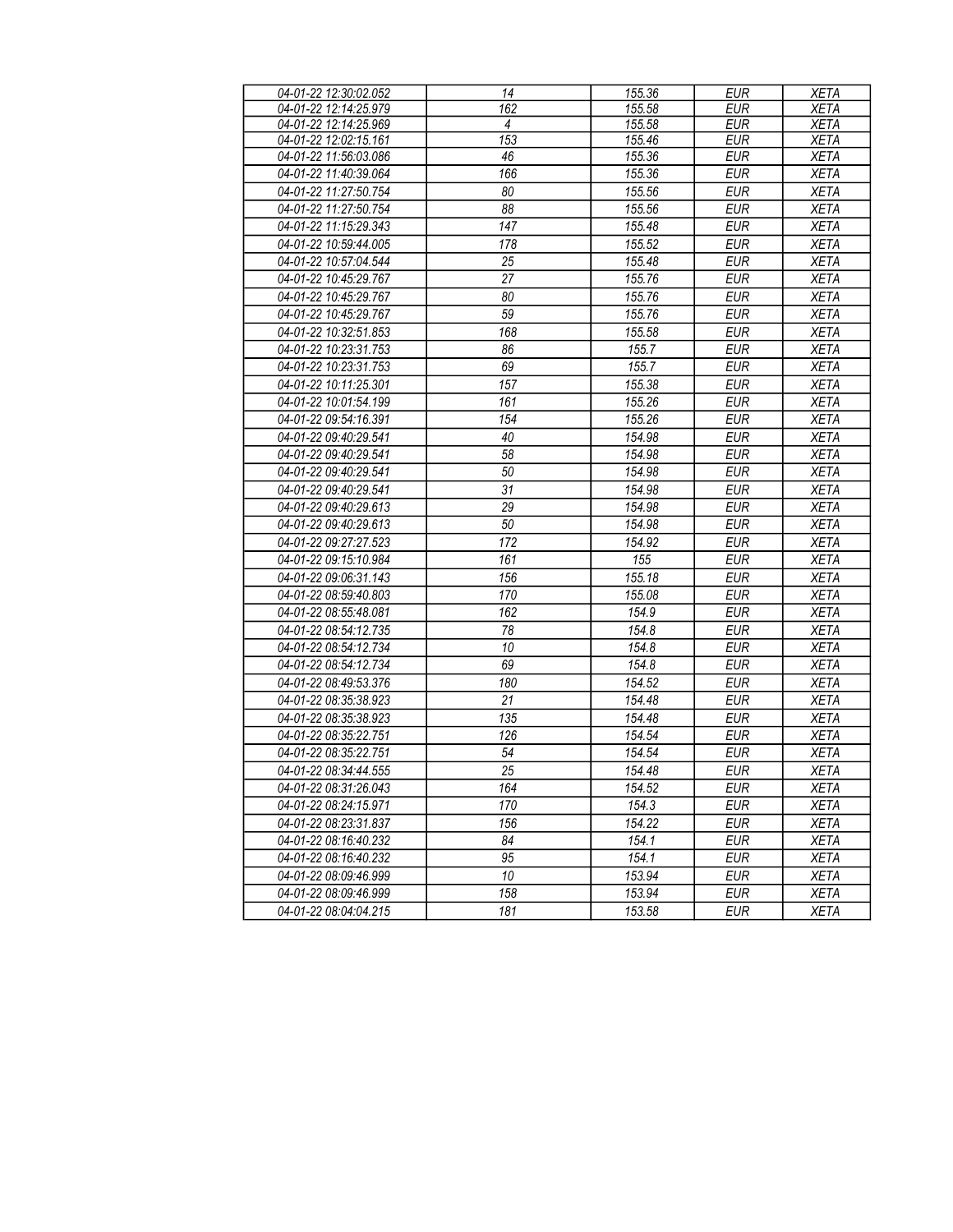| 04-01-22 12:30:02.052 | 14  | 155.36 | <b>EUR</b> | <b>XETA</b> |
|-----------------------|-----|--------|------------|-------------|
| 04-01-22 12:14:25.979 | 162 | 155.58 | <b>EUR</b> | <b>XETA</b> |
| 04-01-22 12:14:25.969 | 4   | 155.58 | <b>EUR</b> | <b>XETA</b> |
| 04-01-22 12:02:15.161 | 153 | 155.46 | <b>EUR</b> | <b>XETA</b> |
| 04-01-22 11:56:03.086 | 46  | 155.36 | <b>EUR</b> | <b>XETA</b> |
| 04-01-22 11:40:39.064 | 166 | 155.36 | <b>EUR</b> | <b>XETA</b> |
| 04-01-22 11:27:50.754 | 80  | 155.56 | <b>EUR</b> | <b>XETA</b> |
| 04-01-22 11:27:50.754 | 88  | 155.56 | <b>EUR</b> | <b>XETA</b> |
| 04-01-22 11:15:29.343 | 147 | 155.48 | <b>EUR</b> | <b>XETA</b> |
| 04-01-22 10:59:44.005 | 178 | 155.52 | <b>EUR</b> | <b>XETA</b> |
| 04-01-22 10:57:04.544 | 25  | 155.48 | <b>EUR</b> | <b>XETA</b> |
| 04-01-22 10:45:29.767 | 27  | 155.76 | <b>EUR</b> | <b>XETA</b> |
| 04-01-22 10:45:29.767 | 80  | 155.76 | <b>EUR</b> | <b>XETA</b> |
| 04-01-22 10:45:29.767 | 59  | 155.76 | <b>EUR</b> | <b>XETA</b> |
| 04-01-22 10:32:51.853 | 168 | 155.58 | <b>EUR</b> | <b>XETA</b> |
| 04-01-22 10:23:31.753 | 86  | 155.7  | <b>EUR</b> | <b>XETA</b> |
| 04-01-22 10:23:31.753 | 69  | 155.7  | <b>EUR</b> | <b>XETA</b> |
| 04-01-22 10:11:25.301 | 157 | 155.38 | <b>EUR</b> | <b>XETA</b> |
| 04-01-22 10:01:54.199 | 161 | 155.26 | <b>EUR</b> | <b>XETA</b> |
| 04-01-22 09:54:16.391 | 154 | 155.26 | <b>EUR</b> | <b>XETA</b> |
| 04-01-22 09:40:29.541 | 40  | 154.98 | <b>EUR</b> | <b>XETA</b> |
| 04-01-22 09:40:29.541 | 58  | 154.98 | <b>EUR</b> | <b>XETA</b> |
| 04-01-22 09:40:29.541 | 50  | 154.98 | <b>EUR</b> | <b>XETA</b> |
| 04-01-22 09:40:29.541 | 31  | 154.98 | <b>EUR</b> | <b>XETA</b> |
| 04-01-22 09:40:29.613 | 29  | 154.98 | <b>EUR</b> | <b>XETA</b> |
| 04-01-22 09:40:29.613 | 50  | 154.98 | <b>EUR</b> | <b>XETA</b> |
| 04-01-22 09:27:27.523 | 172 | 154.92 | <b>EUR</b> | <b>XETA</b> |
| 04-01-22 09:15:10.984 | 161 | 155    | <b>EUR</b> | <b>XETA</b> |
| 04-01-22 09:06:31.143 | 156 | 155.18 | <b>EUR</b> | <b>XETA</b> |
| 04-01-22 08:59:40.803 | 170 | 155.08 | <b>EUR</b> | <b>XETA</b> |
| 04-01-22 08:55:48.081 | 162 | 154.9  | <b>EUR</b> | <b>XETA</b> |
| 04-01-22 08:54:12.735 | 78  | 154.8  | <b>EUR</b> | <b>XETA</b> |
| 04-01-22 08:54:12.734 | 10  | 154.8  | <b>EUR</b> | <b>XETA</b> |
| 04-01-22 08:54:12.734 | 69  | 154.8  | <b>EUR</b> | <b>XETA</b> |
| 04-01-22 08:49:53.376 | 180 | 154.52 | <b>EUR</b> | <b>XETA</b> |
| 04-01-22 08:35:38.923 | 21  | 154.48 | <b>EUR</b> | <b>XETA</b> |
| 04-01-22 08:35:38.923 | 135 | 154.48 | <b>EUR</b> | <b>XETA</b> |
| 04-01-22 08:35:22.751 | 126 | 154.54 | <b>EUR</b> | <b>XETA</b> |
| 04-01-22 08:35:22.751 | 54  | 154.54 | <b>EUR</b> | <b>XETA</b> |
| 04-01-22 08:34:44.555 | 25  | 154.48 | <b>EUR</b> | <b>XETA</b> |
| 04-01-22 08:31:26.043 | 164 | 154.52 | EUR        | <b>XETA</b> |
| 04-01-22 08:24:15.971 | 170 | 154.3  | <b>EUR</b> | <b>XETA</b> |
| 04-01-22 08:23:31.837 | 156 | 154.22 | EUR        | XETA        |
| 04-01-22 08:16:40.232 | 84  | 154.1  | <b>EUR</b> | <b>XETA</b> |
| 04-01-22 08:16:40.232 | 95  | 154.1  | <b>EUR</b> | <b>XETA</b> |
| 04-01-22 08:09:46.999 | 10  | 153.94 | <b>EUR</b> | XETA        |
| 04-01-22 08:09:46.999 | 158 | 153.94 | EUR        | XETA        |
| 04-01-22 08:04:04.215 | 181 | 153.58 | <b>EUR</b> | XETA        |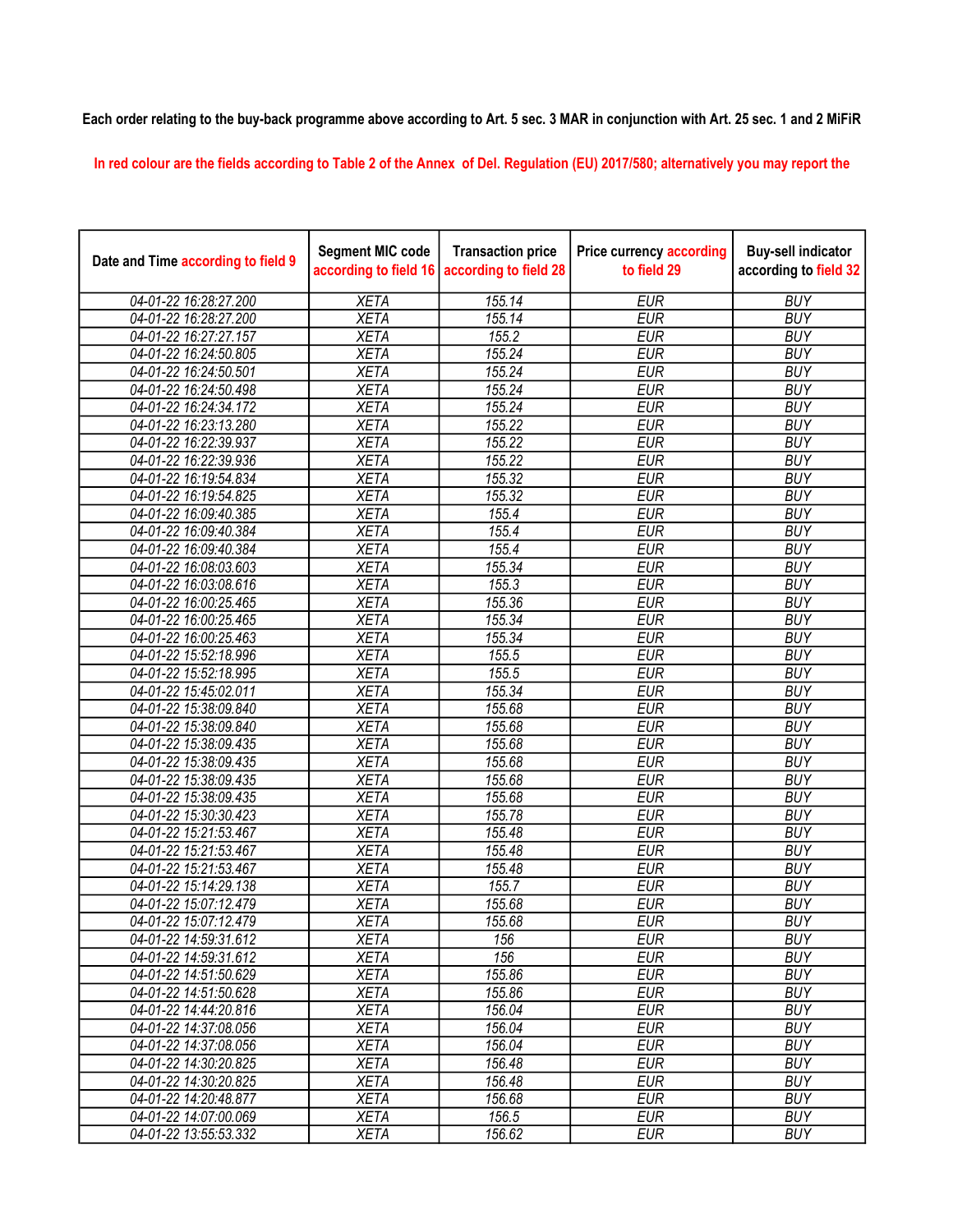## Each order relating to the buy-back programme above according to Art. 5 sec. 3 MAR in conjunction with Art. 25 sec. 1 and 2 MiFiR

In red colour are the fields according to Table 2 of the Annex of Del. Regulation (EU) 2017/580; alternatively you may report the

| Date and Time according to field 9 | <b>Segment MIC code</b><br>according to field 16 | <b>Transaction price</b><br>according to field 28 | <b>Price currency according</b><br>to field 29 | <b>Buy-sell indicator</b><br>according to field 32 |
|------------------------------------|--------------------------------------------------|---------------------------------------------------|------------------------------------------------|----------------------------------------------------|
| 04-01-22 16:28:27.200              | <b>XETA</b>                                      | 155.14                                            | <b>EUR</b>                                     | <b>BUY</b>                                         |
| 04-01-22 16:28:27.200              | <b>XETA</b>                                      | 155.14                                            | <b>EUR</b>                                     | <b>BUY</b>                                         |
| 04-01-22 16:27:27.157              | <b>XETA</b>                                      | 155.2                                             | <b>EUR</b>                                     | <b>BUY</b>                                         |
| 04-01-22 16:24:50.805              | <b>XETA</b>                                      | 155.24                                            | <b>EUR</b>                                     | <b>BUY</b>                                         |
| 04-01-22 16:24:50.501              | <b>XETA</b>                                      | 155.24                                            | <b>EUR</b>                                     | <b>BUY</b>                                         |
| 04-01-22 16:24:50.498              | <b>XETA</b>                                      | 155.24                                            | <b>EUR</b>                                     | <b>BUY</b>                                         |
| 04-01-22 16:24:34.172              | <b>XETA</b>                                      | 155.24                                            | <b>EUR</b>                                     | <b>BUY</b>                                         |
| 04-01-22 16:23:13.280              | <b>XETA</b>                                      | 155.22                                            | <b>EUR</b>                                     | <b>BUY</b>                                         |
| 04-01-22 16:22:39.937              | <b>XETA</b>                                      | 155.22                                            | <b>EUR</b>                                     | <b>BUY</b>                                         |
| 04-01-22 16:22:39.936              | <b>XETA</b>                                      | 155.22                                            | <b>EUR</b>                                     | <b>BUY</b>                                         |
| 04-01-22 16:19:54.834              | <b>XETA</b>                                      | 155.32                                            | <b>EUR</b>                                     | <b>BUY</b>                                         |
| 04-01-22 16:19:54.825              | <b>XETA</b>                                      | 155.32                                            | <b>EUR</b>                                     | <b>BUY</b>                                         |
| 04-01-22 16:09:40.385              | <b>XETA</b>                                      | 155.4                                             | <b>EUR</b>                                     | <b>BUY</b>                                         |
| 04-01-22 16:09:40.384              | <b>XETA</b>                                      | 155.4                                             | <b>EUR</b>                                     | <b>BUY</b>                                         |
| 04-01-22 16:09:40.384              | <b>XETA</b>                                      | 155.4                                             | <b>EUR</b>                                     | <b>BUY</b>                                         |
| 04-01-22 16:08:03.603              | <b>XETA</b>                                      | 155.34                                            | <b>EUR</b>                                     | <b>BUY</b>                                         |
| 04-01-22 16:03:08.616              | <b>XETA</b>                                      | 155.3                                             | <b>EUR</b>                                     | <b>BUY</b>                                         |
| 04-01-22 16:00:25.465              | <b>XETA</b>                                      | 155.36                                            | <b>EUR</b>                                     | <b>BUY</b>                                         |
| 04-01-22 16:00:25.465              | <b>XETA</b>                                      | 155.34                                            | <b>EUR</b>                                     | <b>BUY</b>                                         |
| 04-01-22 16:00:25.463              | <b>XETA</b>                                      | 155.34                                            | <b>EUR</b>                                     | <b>BUY</b>                                         |
| 04-01-22 15:52:18.996              | <b>XETA</b>                                      | 155.5                                             | <b>EUR</b>                                     | <b>BUY</b>                                         |
| 04-01-22 15:52:18.995              | <b>XETA</b>                                      | 155.5                                             | <b>EUR</b>                                     | <b>BUY</b>                                         |
| 04-01-22 15:45:02.011              | <b>XETA</b>                                      | 155.34                                            | <b>EUR</b>                                     | <b>BUY</b>                                         |
| 04-01-22 15:38:09.840              | <b>XETA</b>                                      | 155.68                                            | <b>EUR</b>                                     | <b>BUY</b>                                         |
| 04-01-22 15:38:09.840              | <b>XETA</b>                                      | 155.68                                            | <b>EUR</b>                                     | <b>BUY</b>                                         |
| 04-01-22 15:38:09.435              | <b>XETA</b>                                      | 155.68                                            | <b>EUR</b>                                     | <b>BUY</b>                                         |
| 04-01-22 15:38:09.435              | <b>XETA</b>                                      | 155.68                                            | <b>EUR</b>                                     | <b>BUY</b>                                         |
| 04-01-22 15:38:09.435              | <b>XETA</b>                                      | 155.68                                            | <b>EUR</b>                                     | <b>BUY</b>                                         |
| 04-01-22 15:38:09.435              | <b>XETA</b>                                      | 155.68                                            | <b>EUR</b>                                     | <b>BUY</b>                                         |
| 04-01-22 15:30:30.423              | <b>XETA</b>                                      | 155.78                                            | <b>EUR</b>                                     | <b>BUY</b>                                         |
| 04-01-22 15:21:53.467              | <b>XETA</b>                                      | 155.48                                            | <b>EUR</b>                                     | <b>BUY</b>                                         |
| 04-01-22 15:21:53.467              | <b>XETA</b>                                      | 155.48                                            | <b>EUR</b>                                     | <b>BUY</b>                                         |
| 04-01-22 15:21:53.467              | <b>XETA</b>                                      | 155.48                                            | <b>EUR</b>                                     | <b>BUY</b>                                         |
| 04-01-22 15:14:29.138              | <b>XETA</b>                                      | 155.7                                             | <b>EUR</b>                                     | <b>BUY</b>                                         |
| 04-01-22 15:07:12.479              | <b>XETA</b>                                      | 155.68                                            | <b>EUR</b>                                     | <b>BUY</b>                                         |
| 04-01-22 15:07:12.479              | <b>XETA</b>                                      | 155.68                                            | <b>EUR</b>                                     | <b>BUY</b>                                         |
| 04-01-22 14:59:31.612              | <b>XETA</b>                                      | 156                                               | <b>EUR</b>                                     | <b>BUY</b>                                         |
| 04-01-22 14:59:31.612              | <b>XETA</b>                                      | 156                                               | <b>EUR</b>                                     | <b>BUY</b>                                         |
| 04-01-22 14:51:50.629              | <b>XETA</b>                                      | 155.86                                            | <b>EUR</b>                                     | <b>BUY</b>                                         |
| 04-01-22 14:51:50.628              | <b>XETA</b>                                      | 155.86                                            | <b>EUR</b>                                     | <b>BUY</b>                                         |
| 04-01-22 14:44:20.816              | <b>XETA</b>                                      | 156.04                                            | <b>EUR</b>                                     | <b>BUY</b>                                         |
| 04-01-22 14:37:08.056              | <b>XETA</b>                                      | 156.04                                            | <b>EUR</b>                                     | <b>BUY</b>                                         |
| 04-01-22 14:37:08.056              | <b>XETA</b>                                      | 156.04                                            | <b>EUR</b>                                     | <b>BUY</b>                                         |
| 04-01-22 14:30:20.825              | <b>XETA</b>                                      | 156.48                                            | <b>EUR</b>                                     | <b>BUY</b>                                         |
| 04-01-22 14:30:20.825              | <b>XETA</b>                                      | 156.48                                            | <b>EUR</b>                                     | <b>BUY</b>                                         |
| 04-01-22 14:20:48.877              | <b>XETA</b>                                      | 156.68                                            | <b>EUR</b>                                     | <b>BUY</b>                                         |
| 04-01-22 14:07:00.069              | <b>XETA</b>                                      | 156.5                                             | <b>EUR</b>                                     | <b>BUY</b>                                         |
| 04-01-22 13:55:53.332              | <b>XETA</b>                                      | 156.62                                            | <b>EUR</b>                                     | <b>BUY</b>                                         |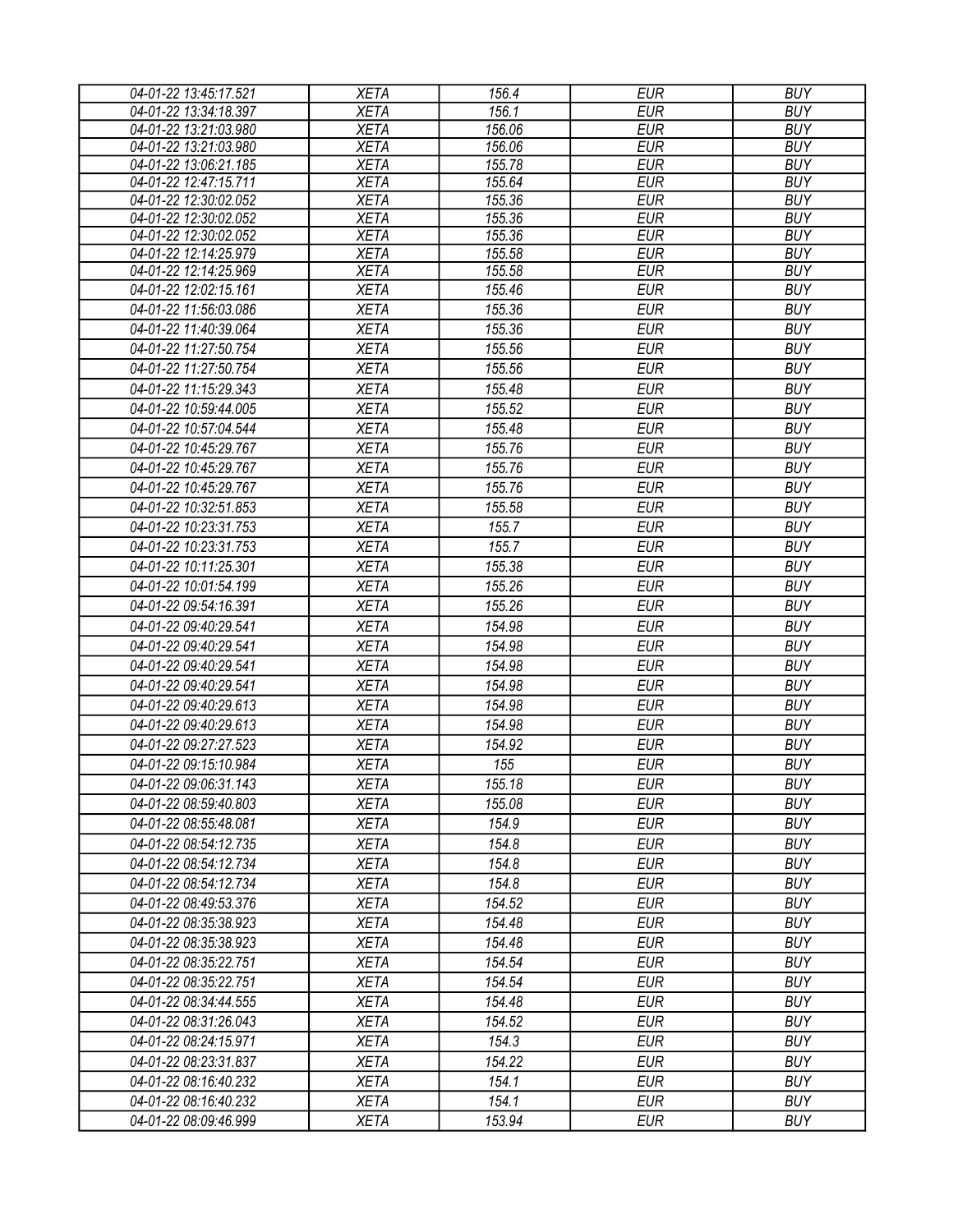| 04-01-22 13:45:17.521 | <b>XETA</b> | 156.4  | <b>EUR</b> | <b>BUY</b> |
|-----------------------|-------------|--------|------------|------------|
| 04-01-22 13:34:18.397 | <b>XETA</b> | 156.1  | <b>EUR</b> | <b>BUY</b> |
| 04-01-22 13:21:03.980 | <b>XETA</b> | 156.06 | <b>EUR</b> | <b>BUY</b> |
| 04-01-22 13:21:03.980 | <b>XETA</b> | 156.06 | <b>EUR</b> | <b>BUY</b> |
| 04-01-22 13:06:21.185 | <b>XETA</b> | 155.78 | <b>EUR</b> | <b>BUY</b> |
| 04-01-22 12:47:15.711 | <b>XETA</b> | 155.64 | <b>EUR</b> | <b>BUY</b> |
| 04-01-22 12:30:02.052 | <b>XETA</b> | 155.36 | <b>EUR</b> | <b>BUY</b> |
| 04-01-22 12:30:02.052 | <b>XETA</b> | 155.36 | <b>EUR</b> | <b>BUY</b> |
| 04-01-22 12:30:02.052 | <b>XETA</b> | 155.36 | <b>EUR</b> | <b>BUY</b> |
| 04-01-22 12:14:25.979 | <b>XETA</b> | 155.58 | <b>EUR</b> | <b>BUY</b> |
| 04-01-22 12:14:25.969 | <b>XETA</b> | 155.58 | <b>EUR</b> | <b>BUY</b> |
| 04-01-22 12:02:15.161 | <b>XETA</b> | 155.46 | <b>EUR</b> | <b>BUY</b> |
| 04-01-22 11:56:03.086 | <b>XETA</b> | 155.36 | <b>EUR</b> | <b>BUY</b> |
| 04-01-22 11:40:39.064 | <b>XETA</b> | 155.36 | <b>EUR</b> | <b>BUY</b> |
| 04-01-22 11:27:50.754 | <b>XETA</b> | 155.56 | <b>EUR</b> | <b>BUY</b> |
| 04-01-22 11:27:50.754 | <b>XETA</b> | 155.56 | <b>EUR</b> | <b>BUY</b> |
| 04-01-22 11:15:29.343 | <b>XETA</b> | 155.48 | <b>EUR</b> | <b>BUY</b> |
| 04-01-22 10:59:44.005 | <b>XETA</b> | 155.52 | <b>EUR</b> | <b>BUY</b> |
| 04-01-22 10:57:04.544 | <b>XETA</b> | 155.48 | <b>EUR</b> | <b>BUY</b> |
| 04-01-22 10:45:29.767 | <b>XETA</b> | 155.76 | <b>EUR</b> | <b>BUY</b> |
| 04-01-22 10:45:29.767 | <b>XETA</b> | 155.76 | <b>EUR</b> | <b>BUY</b> |
| 04-01-22 10:45:29.767 | <b>XETA</b> | 155.76 | <b>EUR</b> | <b>BUY</b> |
| 04-01-22 10:32:51.853 | <b>XETA</b> | 155.58 | <b>EUR</b> | <b>BUY</b> |
| 04-01-22 10:23:31.753 | <b>XETA</b> | 155.7  | <b>EUR</b> | <b>BUY</b> |
| 04-01-22 10:23:31.753 | <b>XETA</b> | 155.7  | <b>EUR</b> | <b>BUY</b> |
| 04-01-22 10:11:25.301 | <b>XETA</b> | 155.38 | <b>EUR</b> | <b>BUY</b> |
| 04-01-22 10:01:54.199 | <b>XETA</b> | 155.26 | <b>EUR</b> | <b>BUY</b> |
| 04-01-22 09:54:16.391 | <b>XETA</b> | 155.26 | <b>EUR</b> | <b>BUY</b> |
| 04-01-22 09:40:29.541 | <b>XETA</b> | 154.98 | <b>EUR</b> | <b>BUY</b> |
|                       |             |        | <b>EUR</b> | <b>BUY</b> |
| 04-01-22 09:40:29.541 | <b>XETA</b> | 154.98 |            |            |
| 04-01-22 09:40:29.541 | <b>XETA</b> | 154.98 | <b>EUR</b> | <b>BUY</b> |
| 04-01-22 09:40:29.541 | <b>XETA</b> | 154.98 | <b>EUR</b> | <b>BUY</b> |
| 04-01-22 09:40:29.613 | <b>XETA</b> | 154.98 | <b>EUR</b> | <b>BUY</b> |
| 04-01-22 09:40:29.613 | <b>XETA</b> | 154.98 | <b>EUR</b> | <b>BUY</b> |
| 04-01-22 09:27:27.523 | <b>XETA</b> | 154.92 | <b>EUR</b> | <b>BUY</b> |
| 04-01-22 09:15:10.984 | <b>XETA</b> | 155    | <b>EUR</b> | <b>BUY</b> |
| 04-01-22 09:06:31.143 | <b>XETA</b> | 155.18 | <b>EUR</b> | <b>BUY</b> |
| 04-01-22 08:59:40.803 | <b>XETA</b> | 155.08 | EUR        | <b>BUY</b> |
| 04-01-22 08:55:48.081 | <b>XETA</b> | 154.9  | EUR        | <b>BUY</b> |
| 04-01-22 08:54:12.735 | <b>XETA</b> | 154.8  | <b>EUR</b> | <b>BUY</b> |
| 04-01-22 08:54:12.734 | <b>XETA</b> | 154.8  | <b>EUR</b> | <b>BUY</b> |
| 04-01-22 08:54:12.734 | <b>XETA</b> | 154.8  | <b>EUR</b> | <b>BUY</b> |
| 04-01-22 08:49:53.376 | <b>XETA</b> | 154.52 | <b>EUR</b> | <b>BUY</b> |
| 04-01-22 08:35:38.923 | <b>XETA</b> | 154.48 | <b>EUR</b> | <b>BUY</b> |
| 04-01-22 08:35:38.923 | <b>XETA</b> | 154.48 | <b>EUR</b> | <b>BUY</b> |
| 04-01-22 08:35:22.751 | <b>XETA</b> | 154.54 | <b>EUR</b> | <b>BUY</b> |
| 04-01-22 08:35:22.751 | <b>XETA</b> | 154.54 | <b>EUR</b> | <b>BUY</b> |
| 04-01-22 08:34:44.555 | <b>XETA</b> | 154.48 | <b>EUR</b> | <b>BUY</b> |
| 04-01-22 08:31:26.043 | <b>XETA</b> | 154.52 | <b>EUR</b> | <b>BUY</b> |
|                       |             | 154.3  | <b>EUR</b> | <b>BUY</b> |
| 04-01-22 08:24:15.971 | <b>XETA</b> |        |            |            |
| 04-01-22 08:23:31.837 | <b>XETA</b> | 154.22 | <b>EUR</b> | <b>BUY</b> |
| 04-01-22 08:16:40.232 | <b>XETA</b> | 154.1  | <b>EUR</b> | <b>BUY</b> |
| 04-01-22 08:16:40.232 | <b>XETA</b> | 154.1  | <b>EUR</b> | <b>BUY</b> |
| 04-01-22 08:09:46.999 | <b>XETA</b> | 153.94 | <b>EUR</b> | <b>BUY</b> |